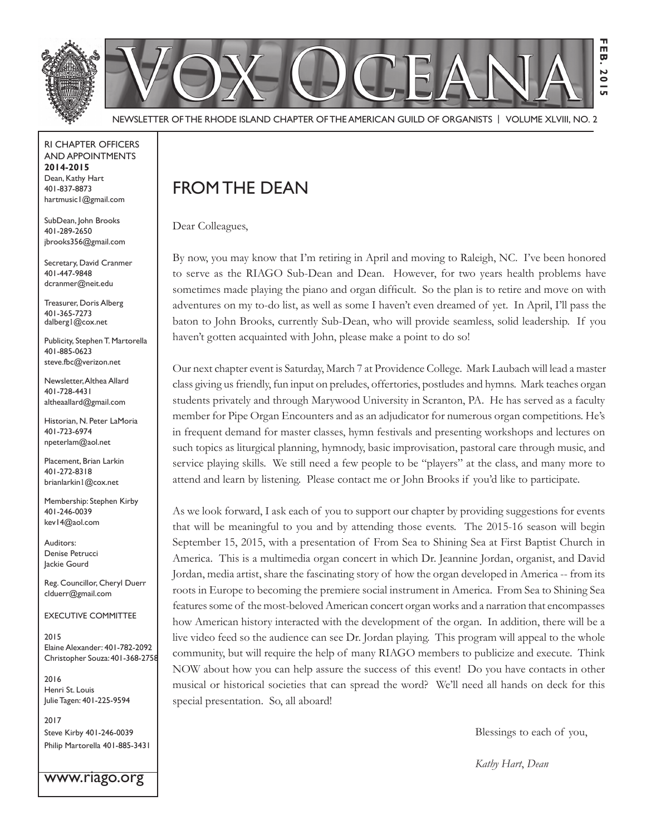

Newsletter of the Rhode Island Chapter of the American Guild of OrganistS | Volume XLVIII, No. 2

RI Chapter Officers and Appointments **2014-2015** Dean, Kathy Hart 401-837-8873 hartmusic1@gmail.com

SubDean, John Brooks 401-289-2650 jbrooks356@gmail.com

Secretary, David Cranmer 401-447-9848 dcranmer@neit.edu

Treasurer, Doris Alberg 401-365-7273 dalberg1@cox.net

Publicity, Stephen T. Martorella 401-885-0623 steve.fbc@verizon.net

Newsletter, Althea Allard 401-728-4431 altheaallard@gmail.com

Historian, N. Peter LaMoria 401-723-6974 npeterlam@aol.net

Placement, Brian Larkin 401-272-8318 brianlarkin1@cox.net

Membership: Stephen Kirby 401-246-0039 kev14@aol.com

Auditors: Denise Petrucci Jackie Gourd

Reg. Councillor, Cheryl Duerr clduerr@gmail.com

Executive Committee

2015 Elaine Alexander: 401-782-2092 Christopher Souza: 401-368-2758

2016 Henri St. Louis Julie Tagen: 401-225-9594

2017 Steve Kirby 401-246-0039 Philip Martorella 401-885-3431

www.riago.org

### FROM THE DEAN

Dear Colleagues,

By now, you may know that I'm retiring in April and moving to Raleigh, NC. I've been honored to serve as the RIAGO Sub-Dean and Dean. However, for two years health problems have sometimes made playing the piano and organ difficult. So the plan is to retire and move on with adventures on my to-do list, as well as some I haven't even dreamed of yet. In April, I'll pass the baton to John Brooks, currently Sub-Dean, who will provide seamless, solid leadership. If you haven't gotten acquainted with John, please make a point to do so!

Our next chapter event is Saturday, March 7 at Providence College. Mark Laubach will lead a master class giving us friendly, fun input on preludes, offertories, postludes and hymns. Mark teaches organ students privately and through Marywood University in Scranton, PA. He has served as a faculty member for Pipe Organ Encounters and as an adjudicator for numerous organ competitions. He's in frequent demand for master classes, hymn festivals and presenting workshops and lectures on such topics as liturgical planning, hymnody, basic improvisation, pastoral care through music, and service playing skills. We still need a few people to be "players" at the class, and many more to attend and learn by listening. Please contact me or John Brooks if you'd like to participate.

As we look forward, I ask each of you to support our chapter by providing suggestions for events that will be meaningful to you and by attending those events. The 2015-16 season will begin September 15, 2015, with a presentation of From Sea to Shining Sea at First Baptist Church in America. This is a multimedia organ concert in which Dr. Jeannine Jordan, organist, and David Jordan, media artist, share the fascinating story of how the organ developed in America -- from its roots in Europe to becoming the premiere social instrument in America. From Sea to Shining Sea features some of the most-beloved American concert organ works and a narration that encompasses how American history interacted with the development of the organ. In addition, there will be a live video feed so the audience can see Dr. Jordan playing. This program will appeal to the whole community, but will require the help of many RIAGO members to publicize and execute. Think NOW about how you can help assure the success of this event! Do you have contacts in other musical or historical societies that can spread the word? We'll need all hands on deck for this special presentation. So, all aboard!

Blessings to each of you,

*Kathy Hart*, *Dean*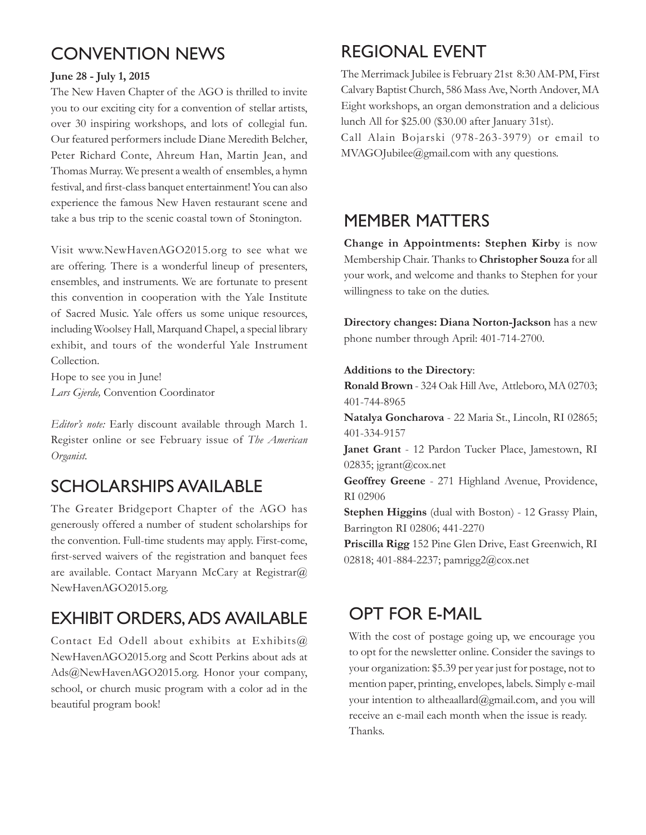### Convention News

#### **June 28 - July 1, 2015**

The New Haven Chapter of the AGO is thrilled to invite you to our exciting city for a convention of stellar artists, over 30 inspiring workshops, and lots of collegial fun. Our featured performers include Diane Meredith Belcher, Peter Richard Conte, Ahreum Han, Martin Jean, and Thomas Murray. We present a wealth of ensembles, a hymn festival, and first-class banquet entertainment! You can also experience the famous New Haven restaurant scene and take a bus trip to the scenic coastal town of Stonington.

Visit www.NewHavenAGO2015.org to see what we are offering. There is a wonderful lineup of presenters, ensembles, and instruments. We are fortunate to present this convention in cooperation with the Yale Institute of Sacred Music. Yale offers us some unique resources, including Woolsey Hall, Marquand Chapel, a special library exhibit, and tours of the wonderful Yale Instrument Collection.

Hope to see you in June! *Lars Gjerde,* Convention Coordinator

*Editor's note:* Early discount available through March 1. Register online or see February issue of *The American Organist.*

### Scholarships available

The Greater Bridgeport Chapter of the AGO has generously offered a number of student scholarships for the convention. Full-time students may apply. First-come, first-served waivers of the registration and banquet fees are available. Contact Maryann McCary at Registrar@ NewHavenAGO2015.org.

### Exhibit Orders, Ads Available

Contact Ed Odell about exhibits at Exhibits@ NewHavenAGO2015.org and Scott Perkins about ads at Ads@NewHavenAGO2015.org. Honor your company, school, or church music program with a color ad in the beautiful program book!

## Regional Event

The Merrimack Jubilee is February 21st 8:30 AM-PM, First Calvary Baptist Church, 586 Mass Ave, North Andover, MA Eight workshops, an organ demonstration and a delicious lunch All for \$25.00 (\$30.00 after January 31st).

Call Alain Bojarski (978-263-3979) or email to MVAGOJubilee@gmail.com with any questions.

#### Member Matters

**Change in Appointments: Stephen Kirby** is now Membership Chair. Thanks to **Christopher Souza** for all your work, and welcome and thanks to Stephen for your willingness to take on the duties.

**Directory changes: Diana Norton-Jackson** has a new phone number through April: 401-714-2700.

#### **Additions to the Directory**:

**Ronald Brown** - 324 Oak Hill Ave, Attleboro, MA 02703; 401-744-8965

**Natalya Goncharova** - 22 Maria St., Lincoln, RI 02865; 401-334-9157

**Janet Grant** - 12 Pardon Tucker Place, Jamestown, RI 02835; jgrant@cox.net

**Geoffrey Greene** - 271 Highland Avenue, Providence, RI 02906

**Stephen Higgins** (dual with Boston) - 12 Grassy Plain, Barrington RI 02806; 441-2270

**Priscilla Rigg** 152 Pine Glen Drive, East Greenwich, RI 02818; 401-884-2237; pamrigg2@cox.net

### Opt for e-mail

With the cost of postage going up, we encourage you to opt for the newsletter online. Consider the savings to your organization: \$5.39 per year just for postage, not to mention paper, printing, envelopes, labels. Simply e-mail your intention to altheaallard@gmail.com, and you will receive an e-mail each month when the issue is ready. Thanks.